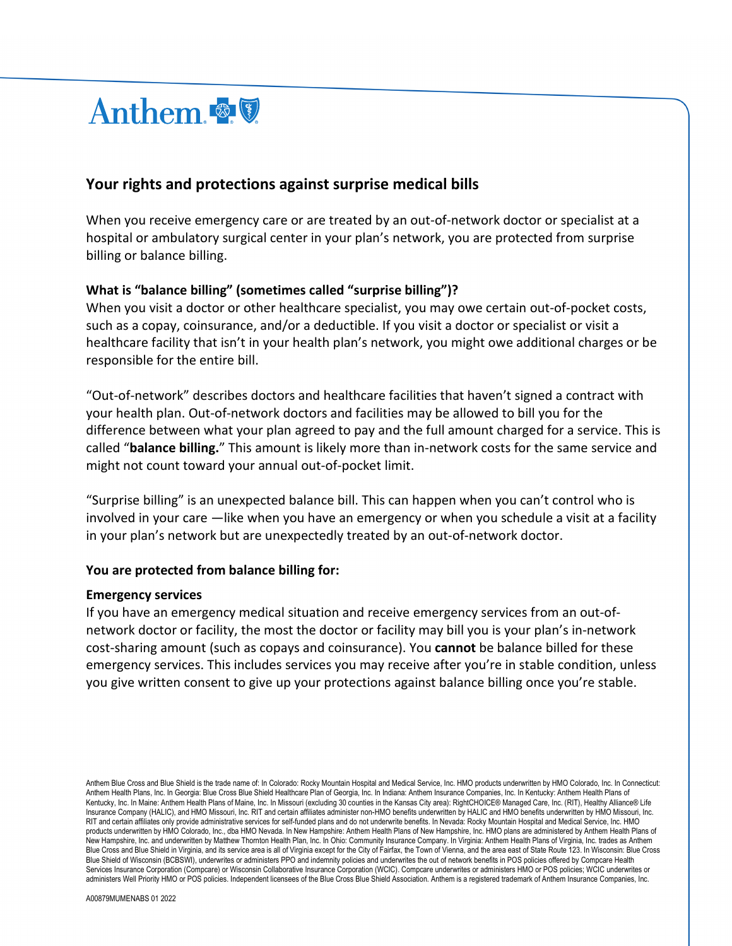

# **Your rights and protections against surprise medical bills**

When you receive emergency care or are treated by an out-of-network doctor or specialist at a hospital or ambulatory surgical center in your plan's network, you are protected from surprise billing or balance billing.

## **What is "balance billing" (sometimes called "surprise billing")?**

When you visit a doctor or other healthcare specialist, you may owe certain out-of-pocket costs, such as a copay, coinsurance, and/or a deductible. If you visit a doctor or specialist or visit a healthcare facility that isn't in your health plan's network, you might owe additional charges or be responsible for the entire bill.

"Out-of-network" describes doctors and healthcare facilities that haven't signed a contract with your health plan. Out-of-network doctors and facilities may be allowed to bill you for the difference between what your plan agreed to pay and the full amount charged for a service. This is called "**balance billing.**" This amount is likely more than in-network costs for the same service and might not count toward your annual out-of-pocket limit.

"Surprise billing" is an unexpected balance bill. This can happen when you can't control who is involved in your care —like when you have an emergency or when you schedule a visit at a facility in your plan's network but are unexpectedly treated by an out-of-network doctor.

### **You are protected from balance billing for:**

#### **Emergency services**

If you have an emergency medical situation and receive emergency services from an out-ofnetwork doctor or facility, the most the doctor or facility may bill you is your plan's in-network cost-sharing amount (such as copays and coinsurance). You **cannot** be balance billed for these emergency services. This includes services you may receive after you're in stable condition, unless you give written consent to give up your protections against balance billing once you're stable.

Anthem Blue Cross and Blue Shield is the trade name of: In Colorado: Rocky Mountain Hospital and Medical Service, Inc. HMO products underwritten by HMO Colorado, Inc. In Connecticut: Anthem Health Plans, Inc. In Georgia: Blue Cross Blue Shield Healthcare Plan of Georgia, Inc. In Indiana: Anthem Insurance Companies, Inc. In Kentucky: Anthem Health Plans of Kentucky, Inc. In Maine: Anthem Health Plans of Maine, Inc. In Missouri (excluding 30 counties in the Kansas City area): RightCHOICE® Managed Care, Inc. (RIT), Healthy Alliance® Life Insurance Company (HALIC), and HMO Missouri, Inc. RIT and certain affiliates administer non-HMO benefits underwritten by HALIC and HMO benefits underwritten by HMO Missouri, Inc. RIT and certain affiliates only provide administrative services for self-funded plans and do not underwrite benefits. In Nevada: Rocky Mountain Hospital and Medical Service, Inc. HMO products underwritten by HMO Colorado, Inc., dba HMO Nevada. In New Hampshire: Anthem Health Plans of New Hampshire, Inc. HMO plans are administered by Anthem Health Plans of New Hampshire, Inc. and underwritten by Matthew Thornton Health Plan, Inc. In Ohio: Community Insurance Company. In Virginia: Anthem Health Plans of Virginia, Inc. trades as Anthem Blue Cross and Blue Shield in Virginia, and its service area is all of Virginia except for the City of Fairfax, the Town of Vienna, and the area east of State Route 123. In Wisconsin: Blue Cross Blue Shield of Wisconsin (BCBSWI), underwrites or administers PPO and indemnity policies and underwrites the out of network benefits in POS policies offered by Compcare Health Services Insurance Corporation (Compcare) or Wisconsin Collaborative Insurance Corporation (WCIC). Compcare underwrites or administers HMO or POS policies; WCIC underwrites or administers Well Priority HMO or POS policies. Independent licensees of the Blue Cross Blue Shield Association. Anthem is a registered trademark of Anthem Insurance Companies, Inc.